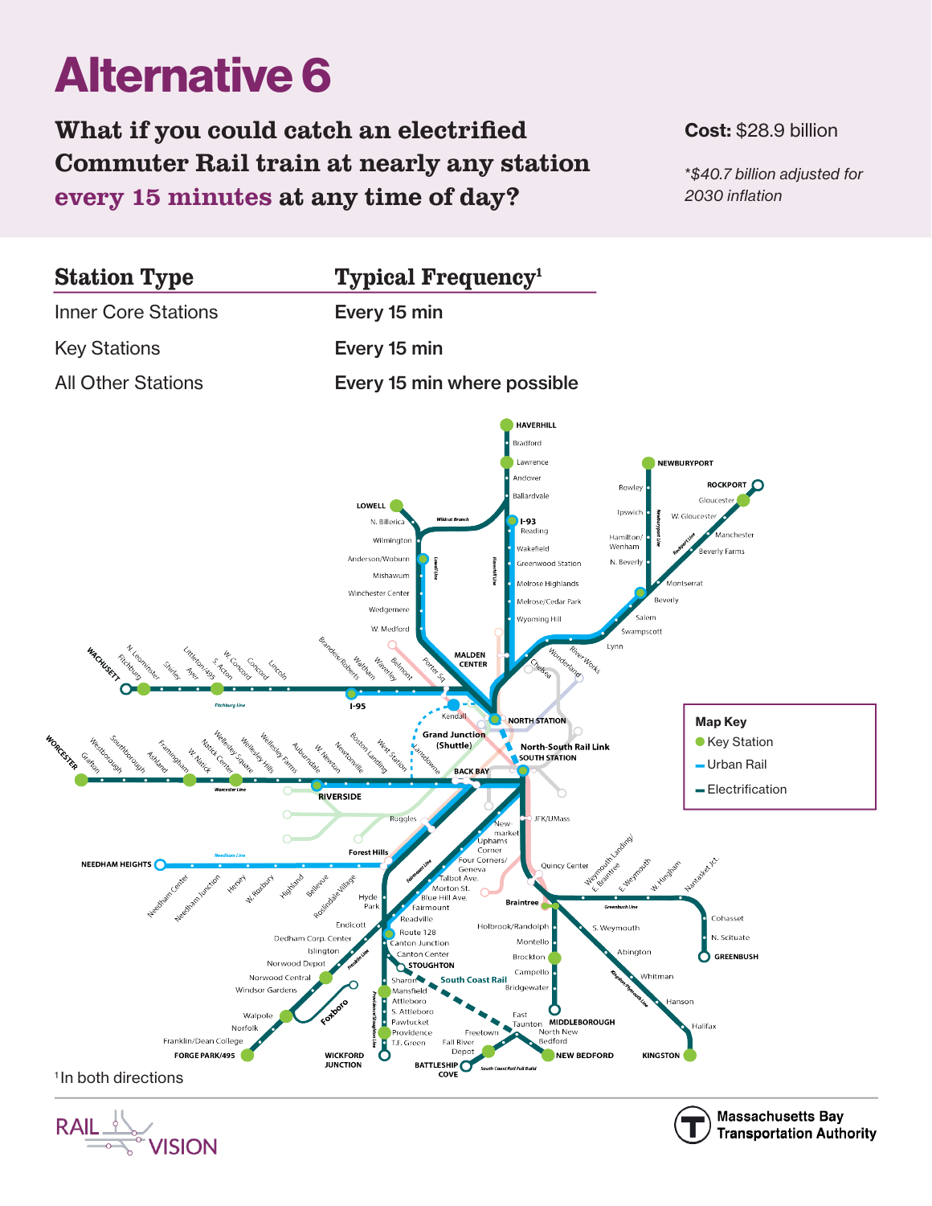# Alternative 6

## What if you could catch an electrified Commuter Rail train at nearly any station every 15 minutes at any time of day?

#### Cost: \$28.9 billion

\**\$40.7 billion adjusted for 2030 inflation*